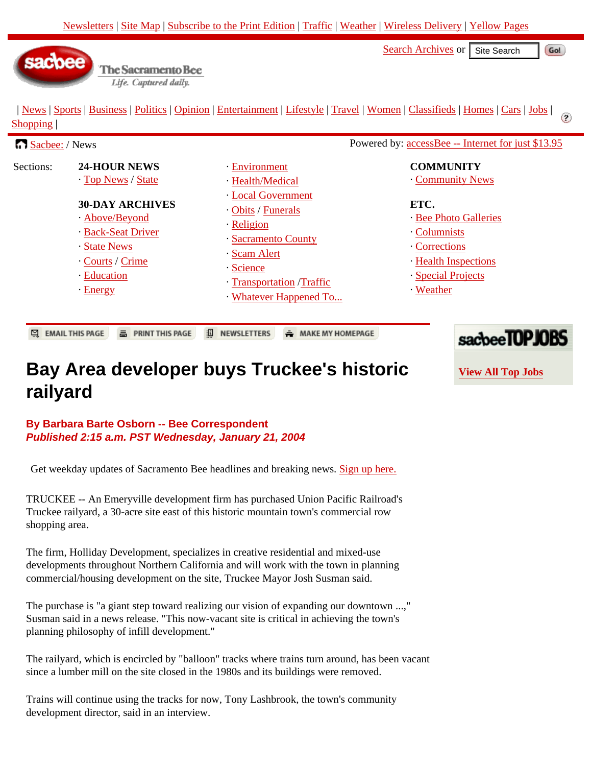[Search Archives](http://www.sacbee.com/static/live/search/index.html) or Site Search

sacbee

 | [News](http://www.sacbee.com/content/news) | [Sports](http://www.sacbee.com/content/sports) | [Business](http://www.sacbee.com/content/business) | [Politics](http://www.sacbee.com/content/politics) | [Opinion](http://www.sacbee.com/content/opinion) | [Entertainment](http://www.sacticket.com/) | [Lifestyle](http://www.sacbee.com/content/lifestyle) | [Travel](http://www.sacbee.com/content/travel) | [Women](http://www.sacbee.com/content/women) | [Classifieds](http://www.sacbee.com/classads) | [Homes](http://www.sacbee.com/homes) | [Cars](http://www.sacbee.com/cars) | [Jobs](http://www.sacbee.com/jobs) | Ø [Shopping](http://www.sacbee.com/shopping) |

| Sacbee: / News |                                                                                                  |                                                                                                                                                                                                  | Powered by: accessBee -- Internet for just \$13.95                                                                                                                       |
|----------------|--------------------------------------------------------------------------------------------------|--------------------------------------------------------------------------------------------------------------------------------------------------------------------------------------------------|--------------------------------------------------------------------------------------------------------------------------------------------------------------------------|
| Sections:      | <b>24-HOUR NEWS</b><br>Top News / State<br><b>30-DAY ARCHIVES</b>                                | Environment<br>· Health/Medical<br>Local Government<br>Obits / Funerals<br>Religion<br>- Sacramento County<br>Scam Alert<br><b>Science</b><br>- Transportation / Traffic<br>Whatever Happened To | <b>COMMUNITY</b><br>Community News<br>ETC.<br><b>Bee Photo Galleries</b><br>Columnists<br>Corrections<br><b>Health Inspections</b><br>Special Projects<br><b>Weather</b> |
|                | Above/Beyond<br><b>Back-Seat Driver</b><br>State News<br>Courts / Crime<br>· Education<br>Energy |                                                                                                                                                                                                  |                                                                                                                                                                          |
| ఆ              | <b>A</b> PRINT THIS PAGE<br><b>EMAIL THIS PAGE</b>                                               | 涸<br><b>NEWSLETTERS</b><br>$=$ MAKE MY HOMEPAGE                                                                                                                                                  | 1.5000                                                                                                                                                                   |

## **Bay Area developer buys Truckee's historic railyard**

**By Barbara Barte Osborn -- Bee Correspondent Published 2:15 a.m. PST Wednesday, January 21, 2004**

The Sacramento Bee Life. Captured daily.

Get weekday updates of Sacramento Bee headlines and breaking news. [Sign up here.](http://www.sacbee.com/static/live/newsletters/sacbee_bulletin_signup.html)

TRUCKEE -- An Emeryville development firm has purchased Union Pacific Railroad's Truckee railyard, a 30-acre site east of this historic mountain town's commercial row shopping area.

The firm, Holliday Development, specializes in creative residential and mixed-use developments throughout Northern California and will work with the town in planning commercial/housing development on the site, Truckee Mayor Josh Susman said.

The purchase is "a giant step toward realizing our vision of expanding our downtown ...," Susman said in a news release. "This now-vacant site is critical in achieving the town's planning philosophy of infill development."

The railyard, which is encircled by "balloon" tracks where trains turn around, has been vacant since a lumber mill on the site closed in the 1980s and its buildings were removed.

Trains will continue using the tracks for now, Tony Lashbrook, the town's community development director, said in an interview.



Gol

**[View All Top Jobs](http://www.sacbee.com/static/topjobs)**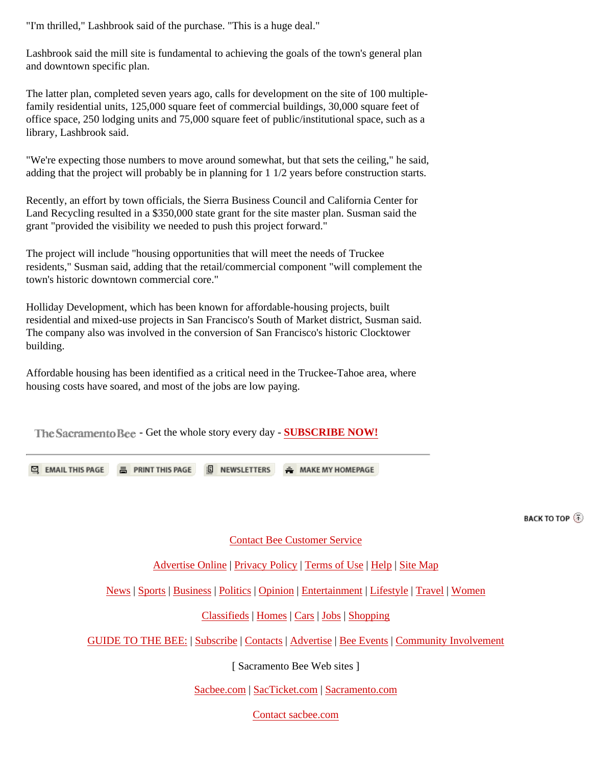"I'm thrilled," Lashbrook said of the purchase. "This is a huge deal."

Lashbrook said the mill site is fundamental to achieving the goals of the town's general plan and downtown specific plan.

The latter plan, completed seven years ago, calls for development on the site of 100 multiplefamily residential units, 125,000 square feet of commercial buildings, 30,000 square feet of office space, 250 lodging units and 75,000 square feet of public/institutional space, such as a library, Lashbrook said.

"We're expecting those numbers to move around somewhat, but that sets the ceiling," he said, adding that the project will probably be in planning for 1 1/2 years before construction starts.

Recently, an effort by town officials, the Sierra Business Council and California Center for Land Recycling resulted in a \$350,000 state grant for the site master plan. Susman said the grant "provided the visibility we needed to push this project forward."

The project will include "housing opportunities that will meet the needs of Truckee residents," Susman said, adding that the retail/commercial component "will complement the town's historic downtown commercial core."

Holliday Development, which has been known for affordable-housing projects, built residential and mixed-use projects in San Francisco's South of Market district, Susman said. The company also was involved in the conversion of San Francisco's historic Clocktower building.

Affordable housing has been identified as a critical need in the Truckee-Tahoe area, where housing costs have soared, and most of the jobs are low paying.

The Sacramento Bee - Get the whole story every day - **[SUBSCRIBE NOW!](http://www.sacbee.com/static/live/guide/subscribe/subscribe.html)** 

**EMAIL THIS PAGE E. PRINT THIS PAGE <b>ID** NEWSLETTERS **E. MAKE MY HOMEPAGE** 

**BACK TO TOP** 

## [Contact Bee Customer Service](http://www.sacbee.com/guide)

## [Advertise Online](http://www.sacbee.com/mediakit) | [Privacy Policy](http://www.sacbee.com/static/live/guide/online/privacy.html) | [Terms of Use](http://www.sacbee.com/static/live/guide/online/legal.html) | [Help](http://www.sacbee.com/static/live/sitehelp/) | [Site Map](http://www.sacbee.com/static/live/sitehelp/sitemap.html)

[News](http://www.sacbee.com/content/news) | [Sports](http://www.sacbee.com/content/sports) | [Business](http://www.sacbee.com/content/business) | [Politics](http://www.sacbee.com/content/politics) | [Opinion](http://www.sacbee.com/content/opinion) | [Entertainment](http://www.sacticket.com/) | [Lifestyle](http://www.sacbee.com/content/lifestyle) | [Travel](http://www.sacbee.com/content/travel) | [Women](http://www.sacbee.com/content/women)

## [Classifieds](http://www.sacbee.com/classads) | [Homes](http://www.sacbee.com/homes) | [Cars](http://www.sacbee.com/cars) | [Jobs](http://www.sacbee.com/jobs) | [Shopping](http://www.sacbee.com/shopping)

[GUIDE TO THE BEE:](http://www.sacbee.com/guide) | [Subscribe](http://www.sacbee.com/static/live/guide/subscribe/subscribe.html) | [Contacts](http://www.sacbee.com/guide) | [Advertise](http://www.sacbee.com/guide) | [Bee Events](http://www.sacbee.com/events) | [Community Involvement](http://www.sacbee.com/events)

[ Sacramento Bee Web sites ]

[Sacbee.com](http://www.sacbee.com/) | [SacTicket.com](http://www.sacticket.com/) | [Sacramento.com](http://www.sacramento.com/)

[Contact sacbee.com](mailto:webmaster@sacbee.com)